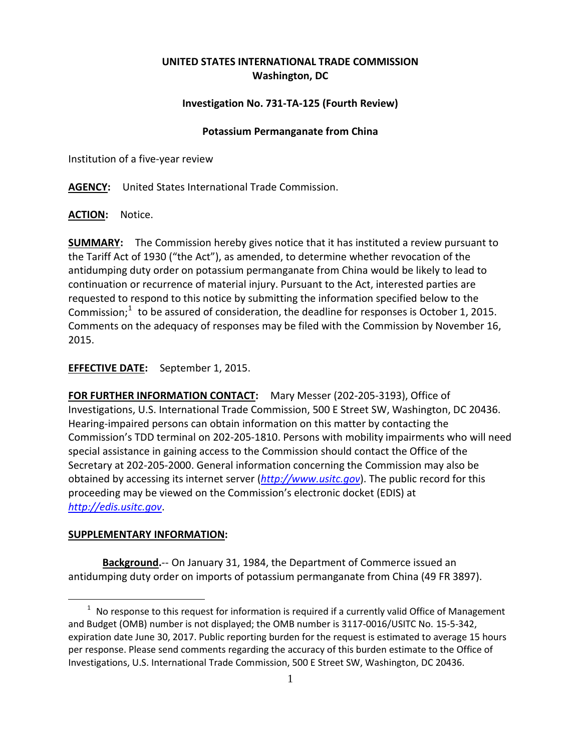# **UNITED STATES INTERNATIONAL TRADE COMMISSION Washington, DC**

## **Investigation No. 731-TA-125 (Fourth Review)**

#### **Potassium Permanganate from China**

Institution of a five-year review

**AGENCY:** United States International Trade Commission.

**ACTION:** Notice.

**SUMMARY:** The Commission hereby gives notice that it has instituted a review pursuant to the Tariff Act of 1930 ("the Act"), as amended, to determine whether revocation of the antidumping duty order on potassium permanganate from China would be likely to lead to continuation or recurrence of material injury. Pursuant to the Act, interested parties are requested to respond to this notice by submitting the information specified below to the Commission; $1$  to be assured of consideration, the deadline for responses is October 1, 2015. Comments on the adequacy of responses may be filed with the Commission by November 16, 2015.

**EFFECTIVE DATE:** September 1, 2015.

**FOR FURTHER INFORMATION CONTACT:** Mary Messer (202-205-3193), Office of Investigations, U.S. International Trade Commission, 500 E Street SW, Washington, DC 20436. Hearing-impaired persons can obtain information on this matter by contacting the Commission's TDD terminal on 202-205-1810. Persons with mobility impairments who will need special assistance in gaining access to the Commission should contact the Office of the Secretary at 202-205-2000. General information concerning the Commission may also be obtained by accessing its internet server (*[http://www.usitc.gov](http://www.usitc.gov/)*). The public record for this proceeding may be viewed on the Commission's electronic docket (EDIS) at *[http://edis.usitc.gov](http://edis.usitc.gov/)*.

### **SUPPLEMENTARY INFORMATION:**

**Background.**-- On January 31, 1984, the Department of Commerce issued an antidumping duty order on imports of potassium permanganate from China (49 FR 3897).

<span id="page-0-0"></span> $\overline{a}$  $1$  No response to this request for information is required if a currently valid Office of Management and Budget (OMB) number is not displayed; the OMB number is 3117-0016/USITC No. 15-5-342, expiration date June 30, 2017. Public reporting burden for the request is estimated to average 15 hours per response. Please send comments regarding the accuracy of this burden estimate to the Office of Investigations, U.S. International Trade Commission, 500 E Street SW, Washington, DC 20436.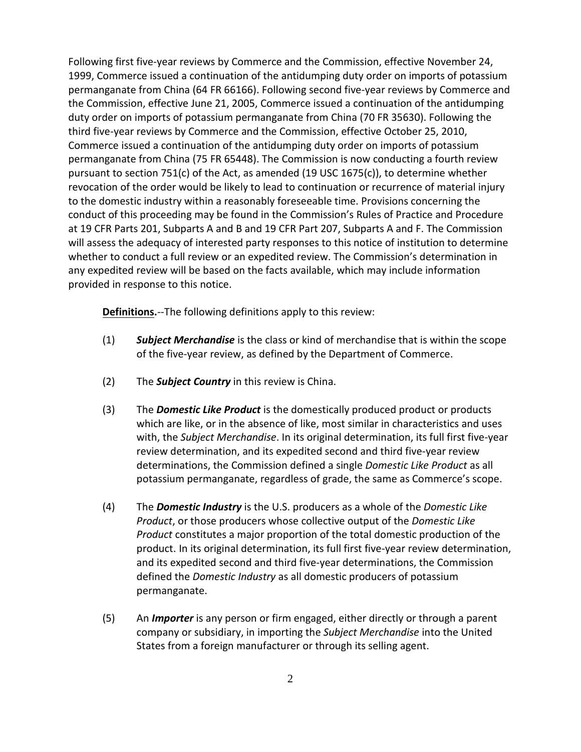Following first five-year reviews by Commerce and the Commission, effective November 24, 1999, Commerce issued a continuation of the antidumping duty order on imports of potassium permanganate from China (64 FR 66166). Following second five-year reviews by Commerce and the Commission, effective June 21, 2005, Commerce issued a continuation of the antidumping duty order on imports of potassium permanganate from China (70 FR 35630). Following the third five-year reviews by Commerce and the Commission, effective October 25, 2010, Commerce issued a continuation of the antidumping duty order on imports of potassium permanganate from China (75 FR 65448). The Commission is now conducting a fourth review pursuant to section 751(c) of the Act, as amended (19 USC 1675(c)), to determine whether revocation of the order would be likely to lead to continuation or recurrence of material injury to the domestic industry within a reasonably foreseeable time. Provisions concerning the conduct of this proceeding may be found in the Commission's Rules of Practice and Procedure at 19 CFR Parts 201, Subparts A and B and 19 CFR Part 207, Subparts A and F. The Commission will assess the adequacy of interested party responses to this notice of institution to determine whether to conduct a full review or an expedited review. The Commission's determination in any expedited review will be based on the facts available, which may include information provided in response to this notice.

**Definitions.**--The following definitions apply to this review:

- (1) *Subject Merchandise* is the class or kind of merchandise that is within the scope of the five-year review, as defined by the Department of Commerce.
- (2) The *Subject Country* in this review is China.
- (3) The *Domestic Like Product* is the domestically produced product or products which are like, or in the absence of like, most similar in characteristics and uses with, the *Subject Merchandise*. In its original determination, its full first five-year review determination, and its expedited second and third five-year review determinations, the Commission defined a single *Domestic Like Product* as all potassium permanganate, regardless of grade, the same as Commerce's scope.
- (4) The *Domestic Industry* is the U.S. producers as a whole of the *Domestic Like Product*, or those producers whose collective output of the *Domestic Like Product* constitutes a major proportion of the total domestic production of the product. In its original determination, its full first five-year review determination, and its expedited second and third five-year determinations, the Commission defined the *Domestic Industry* as all domestic producers of potassium permanganate.
- (5) An *Importer* is any person or firm engaged, either directly or through a parent company or subsidiary, in importing the *Subject Merchandise* into the United States from a foreign manufacturer or through its selling agent.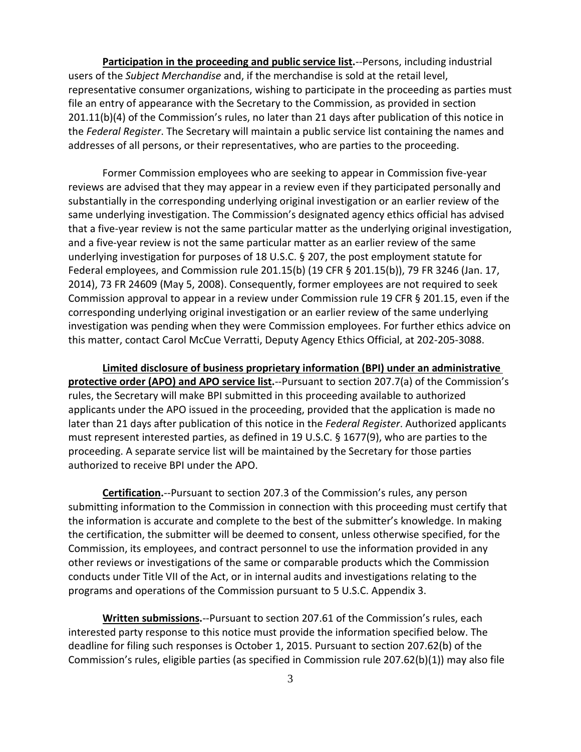**Participation in the proceeding and public service list.**--Persons, including industrial users of the *Subject Merchandise* and, if the merchandise is sold at the retail level, representative consumer organizations, wishing to participate in the proceeding as parties must file an entry of appearance with the Secretary to the Commission, as provided in section 201.11(b)(4) of the Commission's rules, no later than 21 days after publication of this notice in the *Federal Register*. The Secretary will maintain a public service list containing the names and addresses of all persons, or their representatives, who are parties to the proceeding.

Former Commission employees who are seeking to appear in Commission five-year reviews are advised that they may appear in a review even if they participated personally and substantially in the corresponding underlying original investigation or an earlier review of the same underlying investigation. The Commission's designated agency ethics official has advised that a five-year review is not the same particular matter as the underlying original investigation, and a five-year review is not the same particular matter as an earlier review of the same underlying investigation for purposes of 18 U.S.C. § 207, the post employment statute for Federal employees, and Commission rule 201.15(b) (19 CFR § 201.15(b)), 79 FR 3246 (Jan. 17, 2014), 73 FR 24609 (May 5, 2008). Consequently, former employees are not required to seek Commission approval to appear in a review under Commission rule 19 CFR § 201.15, even if the corresponding underlying original investigation or an earlier review of the same underlying investigation was pending when they were Commission employees. For further ethics advice on this matter, contact Carol McCue Verratti, Deputy Agency Ethics Official, at 202-205-3088.

**Limited disclosure of business proprietary information (BPI) under an administrative protective order (APO) and APO service list.**--Pursuant to section 207.7(a) of the Commission's rules, the Secretary will make BPI submitted in this proceeding available to authorized applicants under the APO issued in the proceeding, provided that the application is made no later than 21 days after publication of this notice in the *Federal Register*. Authorized applicants must represent interested parties, as defined in 19 U.S.C. § 1677(9), who are parties to the proceeding. A separate service list will be maintained by the Secretary for those parties authorized to receive BPI under the APO.

**Certification.**--Pursuant to section 207.3 of the Commission's rules, any person submitting information to the Commission in connection with this proceeding must certify that the information is accurate and complete to the best of the submitter's knowledge. In making the certification, the submitter will be deemed to consent, unless otherwise specified, for the Commission, its employees, and contract personnel to use the information provided in any other reviews or investigations of the same or comparable products which the Commission conducts under Title VII of the Act, or in internal audits and investigations relating to the programs and operations of the Commission pursuant to 5 U.S.C. Appendix 3.

**Written submissions.**--Pursuant to section 207.61 of the Commission's rules, each interested party response to this notice must provide the information specified below. The deadline for filing such responses is October 1, 2015. Pursuant to section 207.62(b) of the Commission's rules, eligible parties (as specified in Commission rule 207.62(b)(1)) may also file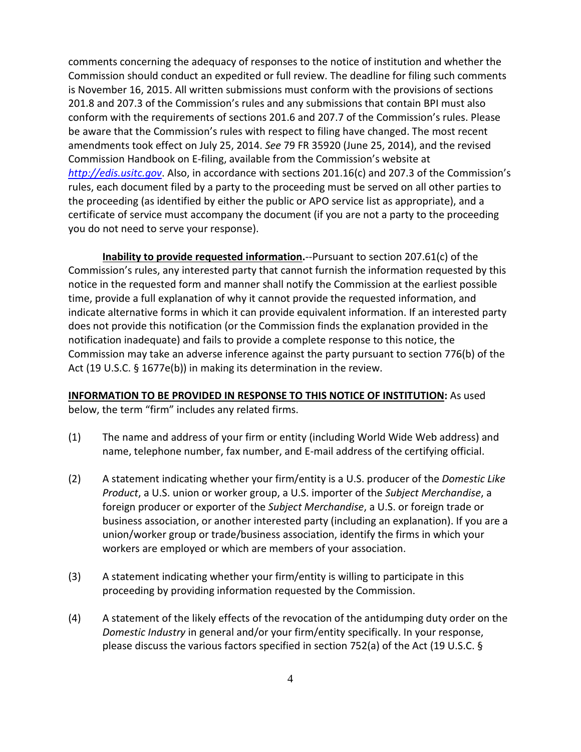comments concerning the adequacy of responses to the notice of institution and whether the Commission should conduct an expedited or full review. The deadline for filing such comments is November 16, 2015. All written submissions must conform with the provisions of sections 201.8 and 207.3 of the Commission's rules and any submissions that contain BPI must also conform with the requirements of sections 201.6 and 207.7 of the Commission's rules. Please be aware that the Commission's rules with respect to filing have changed. The most recent amendments took effect on July 25, 2014. *See* 79 FR 35920 (June 25, 2014), and the revised Commission Handbook on E-filing, available from the Commission's website at *[http://edis.usitc.gov](http://edis.usitc.gov/)*. Also, in accordance with sections 201.16(c) and 207.3 of the Commission's rules, each document filed by a party to the proceeding must be served on all other parties to the proceeding (as identified by either the public or APO service list as appropriate), and a certificate of service must accompany the document (if you are not a party to the proceeding you do not need to serve your response).

**Inability to provide requested information.**--Pursuant to section 207.61(c) of the Commission's rules, any interested party that cannot furnish the information requested by this notice in the requested form and manner shall notify the Commission at the earliest possible time, provide a full explanation of why it cannot provide the requested information, and indicate alternative forms in which it can provide equivalent information. If an interested party does not provide this notification (or the Commission finds the explanation provided in the notification inadequate) and fails to provide a complete response to this notice, the Commission may take an adverse inference against the party pursuant to section 776(b) of the Act (19 U.S.C. § 1677e(b)) in making its determination in the review.

### **INFORMATION TO BE PROVIDED IN RESPONSE TO THIS NOTICE OF INSTITUTION:** As used below, the term "firm" includes any related firms.

- (1) The name and address of your firm or entity (including World Wide Web address) and name, telephone number, fax number, and E-mail address of the certifying official.
- (2) A statement indicating whether your firm/entity is a U.S. producer of the *Domestic Like Product*, a U.S. union or worker group, a U.S. importer of the *Subject Merchandise*, a foreign producer or exporter of the *Subject Merchandise*, a U.S. or foreign trade or business association, or another interested party (including an explanation). If you are a union/worker group or trade/business association, identify the firms in which your workers are employed or which are members of your association.
- (3) A statement indicating whether your firm/entity is willing to participate in this proceeding by providing information requested by the Commission.
- (4) A statement of the likely effects of the revocation of the antidumping duty order on the *Domestic Industry* in general and/or your firm/entity specifically. In your response, please discuss the various factors specified in section 752(a) of the Act (19 U.S.C. §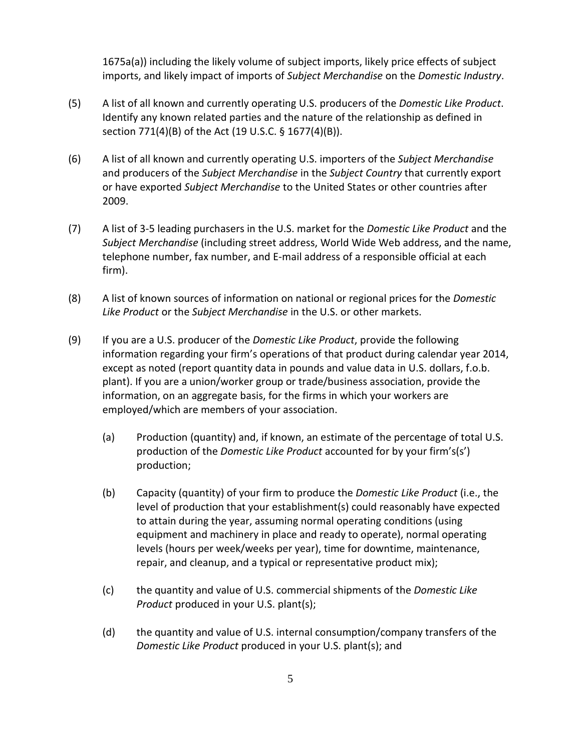1675a(a)) including the likely volume of subject imports, likely price effects of subject imports, and likely impact of imports of *Subject Merchandise* on the *Domestic Industry*.

- (5) A list of all known and currently operating U.S. producers of the *Domestic Like Product*. Identify any known related parties and the nature of the relationship as defined in section 771(4)(B) of the Act (19 U.S.C. § 1677(4)(B)).
- (6) A list of all known and currently operating U.S. importers of the *Subject Merchandise* and producers of the *Subject Merchandise* in the *Subject Country* that currently export or have exported *Subject Merchandise* to the United States or other countries after 2009.
- (7) A list of 3-5 leading purchasers in the U.S. market for the *Domestic Like Product* and the *Subject Merchandise* (including street address, World Wide Web address, and the name, telephone number, fax number, and E-mail address of a responsible official at each firm).
- (8) A list of known sources of information on national or regional prices for the *Domestic Like Product* or the *Subject Merchandise* in the U.S. or other markets.
- (9) If you are a U.S. producer of the *Domestic Like Product*, provide the following information regarding your firm's operations of that product during calendar year 2014, except as noted (report quantity data in pounds and value data in U.S. dollars, f.o.b. plant). If you are a union/worker group or trade/business association, provide the information, on an aggregate basis, for the firms in which your workers are employed/which are members of your association.
	- (a) Production (quantity) and, if known, an estimate of the percentage of total U.S. production of the *Domestic Like Product* accounted for by your firm's(s') production;
	- (b) Capacity (quantity) of your firm to produce the *Domestic Like Product* (i.e., the level of production that your establishment(s) could reasonably have expected to attain during the year, assuming normal operating conditions (using equipment and machinery in place and ready to operate), normal operating levels (hours per week/weeks per year), time for downtime, maintenance, repair, and cleanup, and a typical or representative product mix);
	- (c) the quantity and value of U.S. commercial shipments of the *Domestic Like Product* produced in your U.S. plant(s);
	- (d) the quantity and value of U.S. internal consumption/company transfers of the *Domestic Like Product* produced in your U.S. plant(s); and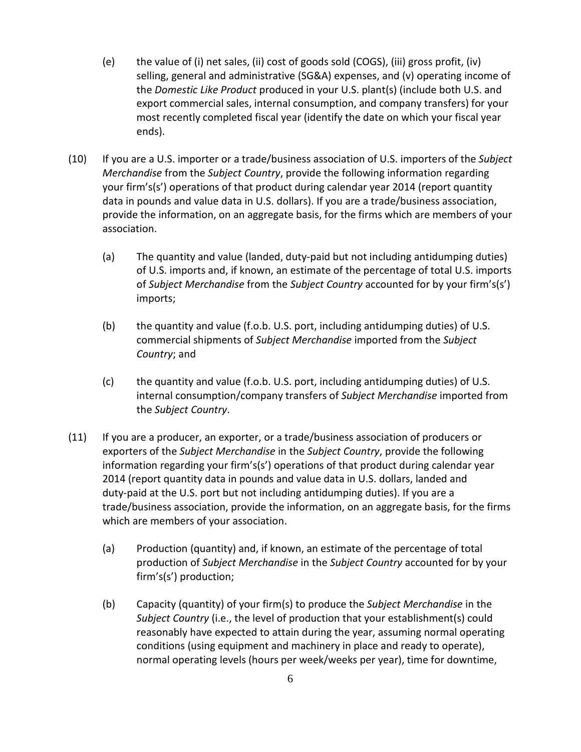- (e) the value of (i) net sales, (ii) cost of goods sold (COGS), (iii) gross profit, (iv) selling, general and administrative (SG&A) expenses, and (v) operating income of the *Domestic Like Product* produced in your U.S. plant(s) (include both U.S. and export commercial sales, internal consumption, and company transfers) for your most recently completed fiscal year (identify the date on which your fiscal year ends).
- (10) If you are a U.S. importer or a trade/business association of U.S. importers of the *Subject Merchandise* from the *Subject Country*, provide the following information regarding your firm's(s') operations of that product during calendar year 2014 (report quantity data in pounds and value data in U.S. dollars). If you are a trade/business association, provide the information, on an aggregate basis, for the firms which are members of your association.
	- (a) The quantity and value (landed, duty-paid but not including antidumping duties) of U.S. imports and, if known, an estimate of the percentage of total U.S. imports of *Subject Merchandise* from the *Subject Country* accounted for by your firm's(s') imports;
	- (b) the quantity and value (f.o.b. U.S. port, including antidumping duties) of U.S. commercial shipments of *Subject Merchandise* imported from the *Subject Country*; and
	- (c) the quantity and value (f.o.b. U.S. port, including antidumping duties) of U.S. internal consumption/company transfers of *Subject Merchandise* imported from the *Subject Country*.
- (11) If you are a producer, an exporter, or a trade/business association of producers or exporters of the *Subject Merchandise* in the *Subject Country*, provide the following information regarding your firm's(s') operations of that product during calendar year 2014 (report quantity data in pounds and value data in U.S. dollars, landed and duty-paid at the U.S. port but not including antidumping duties). If you are a trade/business association, provide the information, on an aggregate basis, for the firms which are members of your association.
	- (a) Production (quantity) and, if known, an estimate of the percentage of total production of *Subject Merchandise* in the *Subject Country* accounted for by your firm's(s') production;
	- (b) Capacity (quantity) of your firm(s) to produce the *Subject Merchandise* in the *Subject Country* (i.e., the level of production that your establishment(s) could reasonably have expected to attain during the year, assuming normal operating conditions (using equipment and machinery in place and ready to operate), normal operating levels (hours per week/weeks per year), time for downtime,